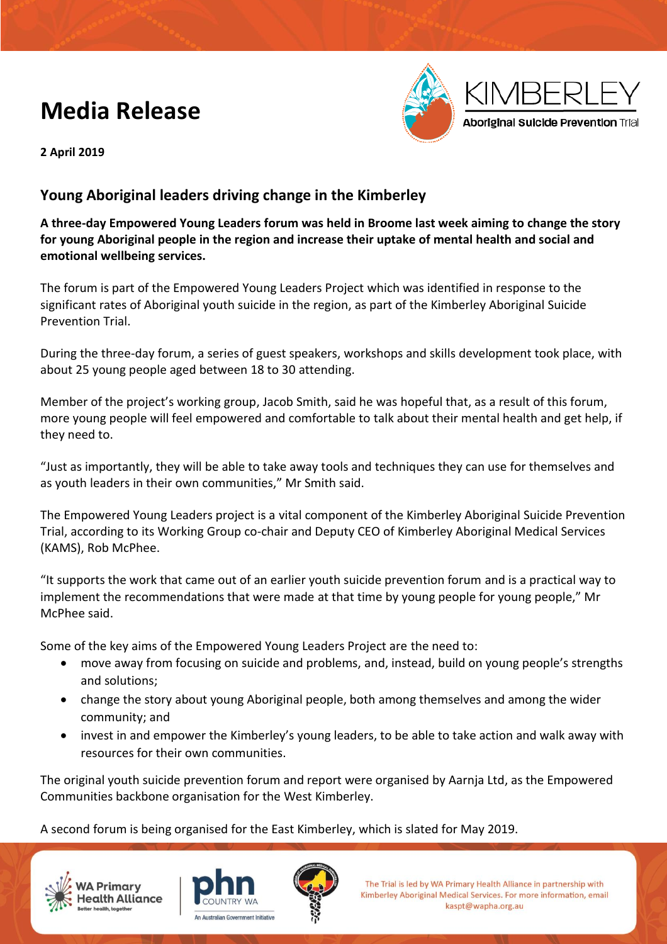# **Media Release**



**2 April 2019**

## **Young Aboriginal leaders driving change in the Kimberley**

**A three-day Empowered Young Leaders forum was held in Broome last week aiming to change the story for young Aboriginal people in the region and increase their uptake of mental health and social and emotional wellbeing services.**

The forum is part of the Empowered Young Leaders Project which was identified in response to the significant rates of Aboriginal youth suicide in the region, as part of the Kimberley Aboriginal Suicide Prevention Trial.

During the three-day forum, a series of guest speakers, workshops and skills development took place, with about 25 young people aged between 18 to 30 attending.

Member of the project's working group, Jacob Smith, said he was hopeful that, as a result of this forum, more young people will feel empowered and comfortable to talk about their mental health and get help, if they need to.

"Just as importantly, they will be able to take away tools and techniques they can use for themselves and as youth leaders in their own communities," Mr Smith said.

The Empowered Young Leaders project is a vital component of the Kimberley Aboriginal Suicide Prevention Trial, according to its Working Group co-chair and Deputy CEO of Kimberley Aboriginal Medical Services (KAMS), Rob McPhee.

"It supports the work that came out of an earlier youth suicide prevention forum and is a practical way to implement the recommendations that were made at that time by young people for young people," Mr McPhee said.

Some of the key aims of the Empowered Young Leaders Project are the need to:

- move away from focusing on suicide and problems, and, instead, build on young people's strengths and solutions;
- change the story about young Aboriginal people, both among themselves and among the wider community; and
- invest in and empower the Kimberley's young leaders, to be able to take action and walk away with resources for their own communities.

The original youth suicide prevention forum and report were organised by Aarnja Ltd, as the Empowered Communities backbone organisation for the West Kimberley.

A second forum is being organised for the East Kimberley, which is slated for May 2019.







The Trial is led by WA Primary Health Alliance in partnership with Kimberley Aboriginal Medical Services. For more information, email kaspt@wapha.org.au